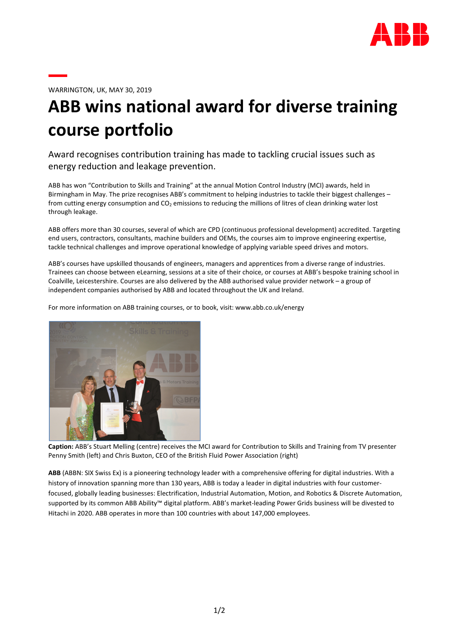

WARRINGTON, UK, MAY 30, 2019

## ABB wins national award for diverse training course portfolio

Award recognises contribution training has made to tackling crucial issues such as energy reduction and leakage prevention.

ABB has won "Contribution to Skills and Training" at the annual Motion Control Industry (MCI) awards, held in Birmingham in May. The prize recognises ABB's commitment to helping industries to tackle their biggest challenges – from cutting energy consumption and  $CO<sub>2</sub>$  emissions to reducing the millions of litres of clean drinking water lost through leakage.

ABB offers more than 30 courses, several of which are CPD (continuous professional development) accredited. Targeting end users, contractors, consultants, machine builders and OEMs, the courses aim to improve engineering expertise, tackle technical challenges and improve operational knowledge of applying variable speed drives and motors.

ABB's courses have upskilled thousands of engineers, managers and apprentices from a diverse range of industries. Trainees can choose between eLearning, sessions at a site of their choice, or courses at ABB's bespoke training school in Coalville, Leicestershire. Courses are also delivered by the ABB authorised value provider network – a group of independent companies authorised by ABB and located throughout the UK and Ireland.

For more information on ABB training courses, or to book, visit: www.abb.co.uk/energy



Caption: ABB's Stuart Melling (centre) receives the MCI award for Contribution to Skills and Training from TV presenter Penny Smith (left) and Chris Buxton, CEO of the British Fluid Power Association (right)

ABB (ABBN: SIX Swiss Ex) is a pioneering technology leader with a comprehensive offering for digital industries. With a history of innovation spanning more than 130 years, ABB is today a leader in digital industries with four customerfocused, globally leading businesses: Electrification, Industrial Automation, Motion, and Robotics & Discrete Automation, supported by its common ABB Ability™ digital platform. ABB's market-leading Power Grids business will be divested to Hitachi in 2020. ABB operates in more than 100 countries with about 147,000 employees.